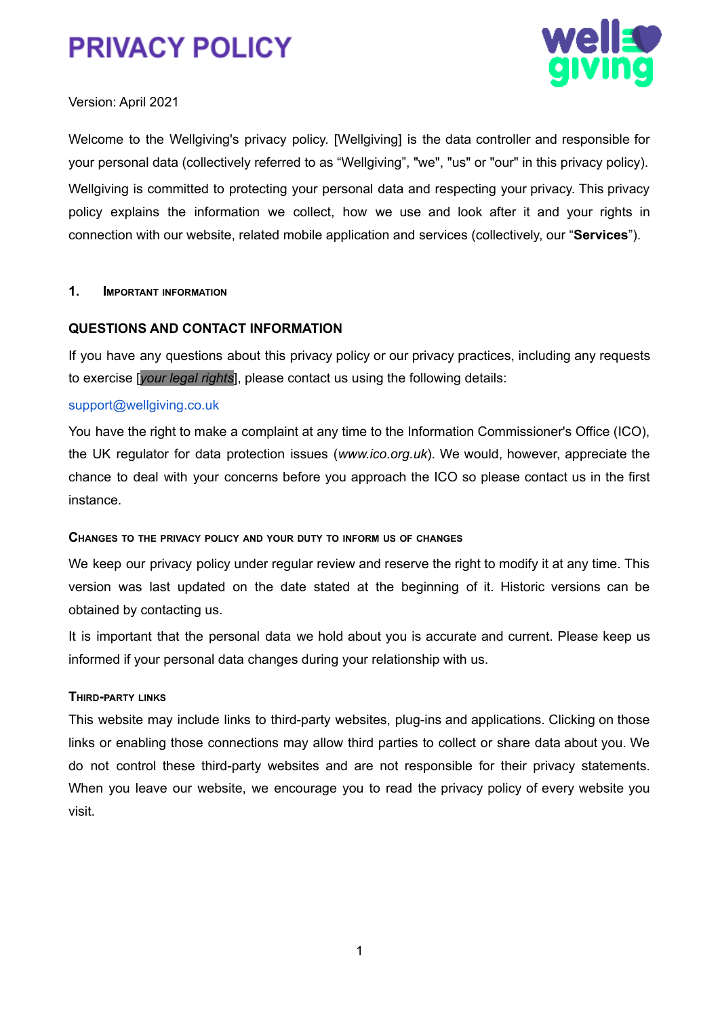



Version: April 2021

Welcome to the Wellgiving's privacy policy. [Wellgiving] is the data controller and responsible for your personal data (collectively referred to as "Wellgiving", "we", "us" or "our" in this privacy policy). Wellgiving is committed to protecting your personal data and respecting your privacy. This privacy policy explains the information we collect, how we use and look after it and your rights in connection with our website, related mobile application and services (collectively, our "**Services**").

### **1. IMPORTANT INFORMATION**

## **QUESTIONS AND CONTACT INFORMATION**

If you have any questions about this privacy policy or our privacy practices, including any requests to exercise [*your legal rights*], please contact us using the following details:

### support@wellgiving.co.uk

You have the right to make a complaint at any time to the Information Commissioner's Office (ICO), the UK regulator for data protection issues (*www.ico.org.uk*). We would, however, appreciate the chance to deal with your concerns before you approach the ICO so please contact us in the first instance.

## **CHANGES TO THE PRIVACY POLICY AND YOUR DUTY TO INFORM US OF CHANGES**

We keep our privacy policy under regular review and reserve the right to modify it at any time. This version was last updated on the date stated at the beginning of it. Historic versions can be obtained by contacting us.

It is important that the personal data we hold about you is accurate and current. Please keep us informed if your personal data changes during your relationship with us.

## **THIRD-PARTY LINKS**

This website may include links to third-party websites, plug-ins and applications. Clicking on those links or enabling those connections may allow third parties to collect or share data about you. We do not control these third-party websites and are not responsible for their privacy statements. When you leave our website, we encourage you to read the privacy policy of every website you visit.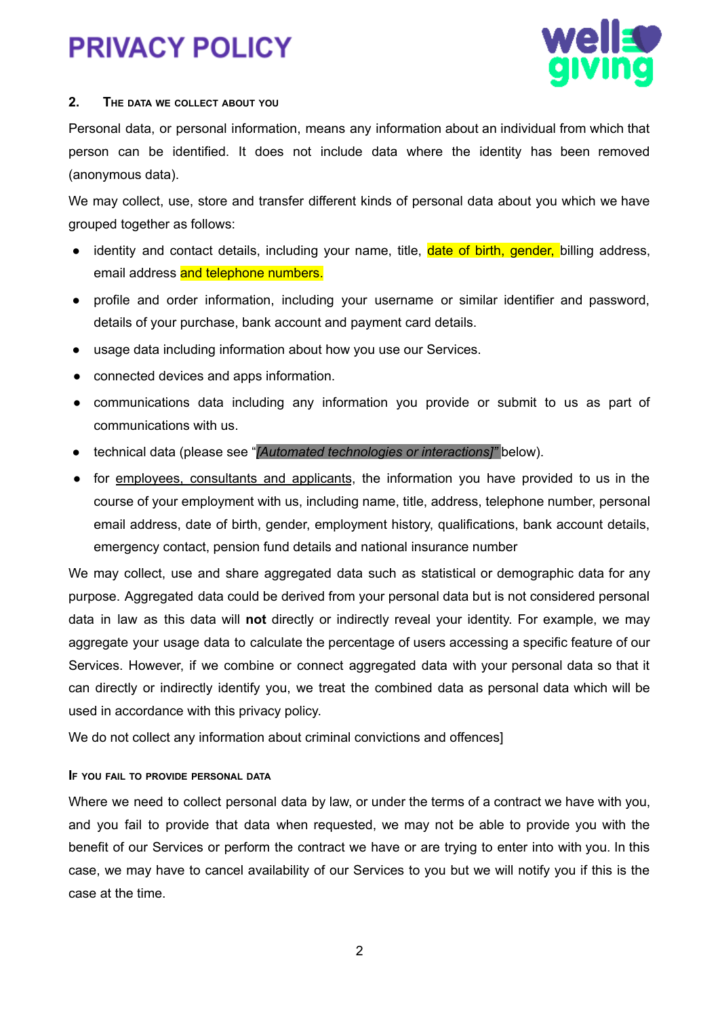

## **2. THE DATA WE COLLECT ABOUT YOU**

Personal data, or personal information, means any information about an individual from which that person can be identified. It does not include data where the identity has been removed (anonymous data).

We may collect, use, store and transfer different kinds of personal data about you which we have grouped together as follows:

- identity and contact details, including your name, title, date of birth, gender, billing address, email address and telephone numbers.
- profile and order information, including your username or similar identifier and password, details of your purchase, bank account and payment card details.
- usage data including information about how you use our Services.
- connected devices and apps information.
- communications data including any information you provide or submit to us as part of communications with us.
- technical data (please see "*[Automated technologies or interactions]"* below).
- for employees, consultants and applicants, the information you have provided to us in the course of your employment with us, including name, title, address, telephone number, personal email address, date of birth, gender, employment history, qualifications, bank account details, emergency contact, pension fund details and national insurance number

We may collect, use and share aggregated data such as statistical or demographic data for any purpose. Aggregated data could be derived from your personal data but is not considered personal data in law as this data will **not** directly or indirectly reveal your identity. For example, we may aggregate your usage data to calculate the percentage of users accessing a specific feature of our Services. However, if we combine or connect aggregated data with your personal data so that it can directly or indirectly identify you, we treat the combined data as personal data which will be used in accordance with this privacy policy.

We do not collect any information about criminal convictions and offences]

## **I<sup>F</sup> YOU FAIL TO PROVIDE PERSONAL DATA**

Where we need to collect personal data by law, or under the terms of a contract we have with you, and you fail to provide that data when requested, we may not be able to provide you with the benefit of our Services or perform the contract we have or are trying to enter into with you. In this case, we may have to cancel availability of our Services to you but we will notify you if this is the case at the time.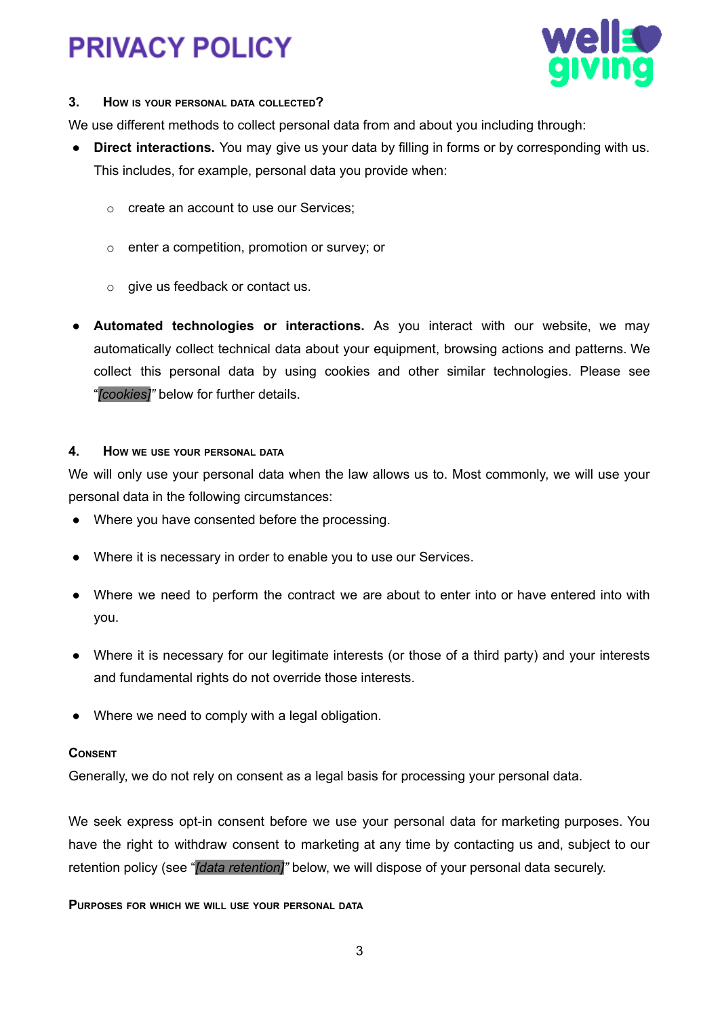

## **3. HOW IS YOUR PERSONAL DATA COLLECTED?**

We use different methods to collect personal data from and about you including through:

- **Direct interactions.** You may give us your data by filling in forms or by corresponding with us. This includes, for example, personal data you provide when:
	- o create an account to use our Services;
	- o enter a competition, promotion or survey; or
	- o give us feedback or contact us.
- **Automated technologies or interactions.** As you interact with our website, we may automatically collect technical data about your equipment, browsing actions and patterns. We collect this personal data by using cookies and other similar technologies. Please see "*[cookies]"* below for further details.

## **4. HOW WE USE YOUR PERSONAL DATA**

We will only use your personal data when the law allows us to. Most commonly, we will use your personal data in the following circumstances:

- Where you have consented before the processing.
- Where it is necessary in order to enable you to use our Services.
- Where we need to perform the contract we are about to enter into or have entered into with you.
- Where it is necessary for our legitimate interests (or those of a third party) and your interests and fundamental rights do not override those interests.
- Where we need to comply with a legal obligation.

## **CONSENT**

Generally, we do not rely on consent as a legal basis for processing your personal data.

We seek express opt-in consent before we use your personal data for marketing purposes. You have the right to withdraw consent to marketing at any time by contacting us and, subject to our retention policy (see "*[data retention]"* below, we will dispose of your personal data securely.

**PURPOSES FOR WHICH WE WILL USE YOUR PERSONAL DATA**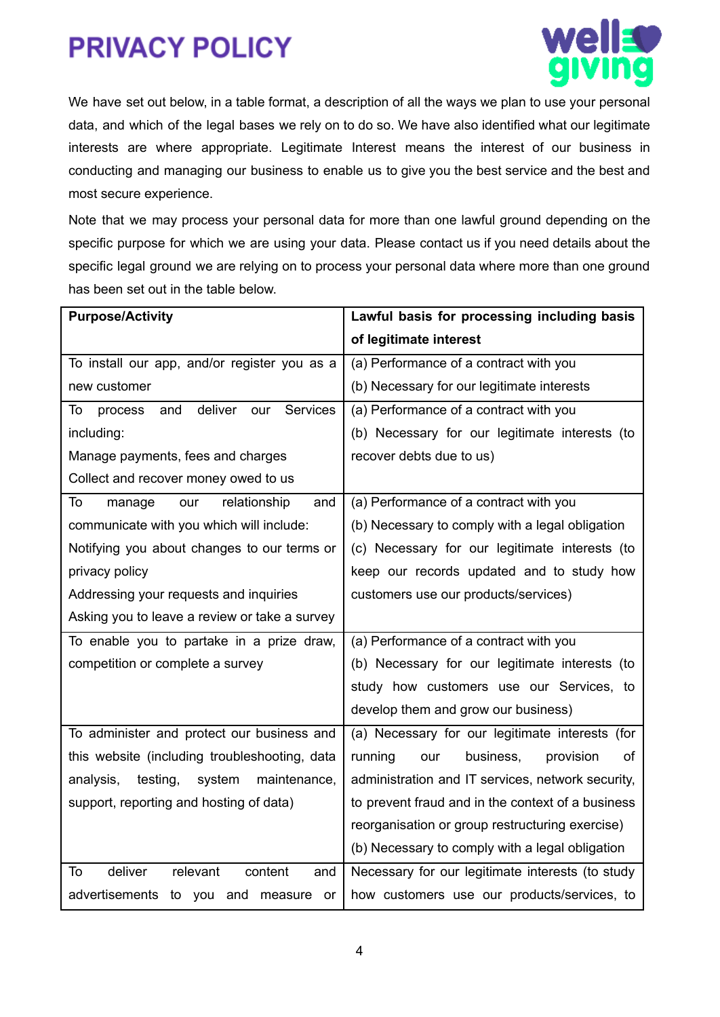

We have set out below, in a table format, a description of all the ways we plan to use your personal data, and which of the legal bases we rely on to do so. We have also identified what our legitimate interests are where appropriate. Legitimate Interest means the interest of our business in conducting and managing our business to enable us to give you the best service and the best and most secure experience.

Note that we may process your personal data for more than one lawful ground depending on the specific purpose for which we are using your data. Please contact us if you need details about the specific legal ground we are relying on to process your personal data where more than one ground has been set out in the table below.

| <b>Purpose/Activity</b>                            | Lawful basis for processing including basis       |
|----------------------------------------------------|---------------------------------------------------|
|                                                    | of legitimate interest                            |
| To install our app, and/or register you as a       | (a) Performance of a contract with you            |
| new customer                                       | (b) Necessary for our legitimate interests        |
| deliver<br>Services<br>our<br>To<br>process<br>and | (a) Performance of a contract with you            |
| including:                                         | (b) Necessary for our legitimate interests (to    |
| Manage payments, fees and charges                  | recover debts due to us)                          |
| Collect and recover money owed to us               |                                                   |
| relationship<br>and<br>To<br>our<br>manage         | (a) Performance of a contract with you            |
| communicate with you which will include:           | (b) Necessary to comply with a legal obligation   |
| Notifying you about changes to our terms or        | (c) Necessary for our legitimate interests (to    |
| privacy policy                                     | keep our records updated and to study how         |
| Addressing your requests and inquiries             | customers use our products/services)              |
| Asking you to leave a review or take a survey      |                                                   |
| To enable you to partake in a prize draw,          | (a) Performance of a contract with you            |
| competition or complete a survey                   | (b) Necessary for our legitimate interests (to    |
|                                                    | study how customers use our Services, to          |
|                                                    | develop them and grow our business)               |
| To administer and protect our business and         | (a) Necessary for our legitimate interests (for   |
| this website (including troubleshooting, data      | running<br>business,<br>provision<br>our<br>οf    |
| analysis,<br>testing,<br>system<br>maintenance,    | administration and IT services, network security, |
| support, reporting and hosting of data)            | to prevent fraud and in the context of a business |
|                                                    | reorganisation or group restructuring exercise)   |
|                                                    | (b) Necessary to comply with a legal obligation   |
| deliver<br>relevant<br>content<br>To<br>and        | Necessary for our legitimate interests (to study  |
| advertisements to you and measure or               | how customers use our products/services, to       |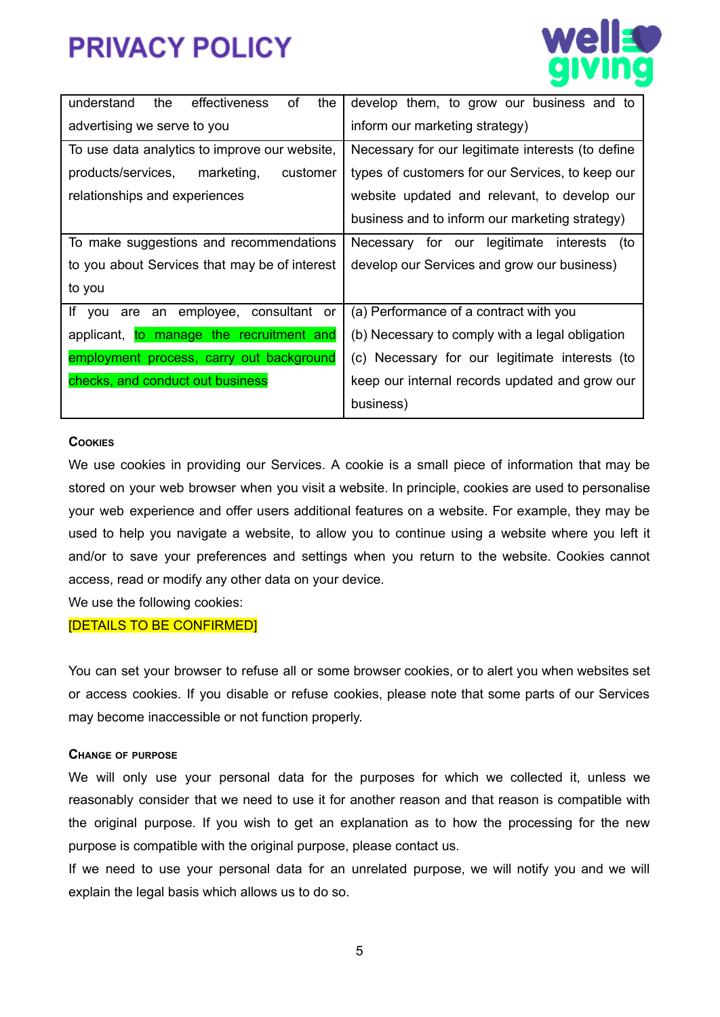



| of<br>understand<br>the<br>effectiveness<br>the | develop them, to grow our business and to         |
|-------------------------------------------------|---------------------------------------------------|
| advertising we serve to you                     | inform our marketing strategy)                    |
| To use data analytics to improve our website,   | Necessary for our legitimate interests (to define |
| products/services,<br>marketing,<br>customer    | types of customers for our Services, to keep our  |
| relationships and experiences                   | website updated and relevant, to develop our      |
|                                                 | business and to inform our marketing strategy)    |
| To make suggestions and recommendations         | Necessary for our legitimate interests (to        |
| to you about Services that may be of interest   | develop our Services and grow our business)       |
| to you                                          |                                                   |
| If you are an employee, consultant or           | (a) Performance of a contract with you            |
| applicant, to manage the recruitment and        | (b) Necessary to comply with a legal obligation   |
| employment process, carry out background        | (c) Necessary for our legitimate interests (to    |
| checks, and conduct out business                | keep our internal records updated and grow our    |
|                                                 | business)                                         |

### **COOKIES**

We use cookies in providing our Services. A cookie is a small piece of information that may be stored on your web browser when you visit a website. In principle, cookies are used to personalise your web experience and offer users additional features on a website. For example, they may be used to help you navigate a website, to allow you to continue using a website where you left it and/or to save your preferences and settings when you return to the website. Cookies cannot access, read or modify any other data on your device.

We use the following cookies:

#### [DETAILS TO BE CONFIRMED]

You can set your browser to refuse all or some browser cookies, or to alert you when websites set or access cookies. If you disable or refuse cookies, please note that some parts of our Services may become inaccessible or not function properly.

#### **CHANGE OF PURPOSE**

We will only use your personal data for the purposes for which we collected it, unless we reasonably consider that we need to use it for another reason and that reason is compatible with the original purpose. If you wish to get an explanation as to how the processing for the new purpose is compatible with the original purpose, please contact us.

If we need to use your personal data for an unrelated purpose, we will notify you and we will explain the legal basis which allows us to do so.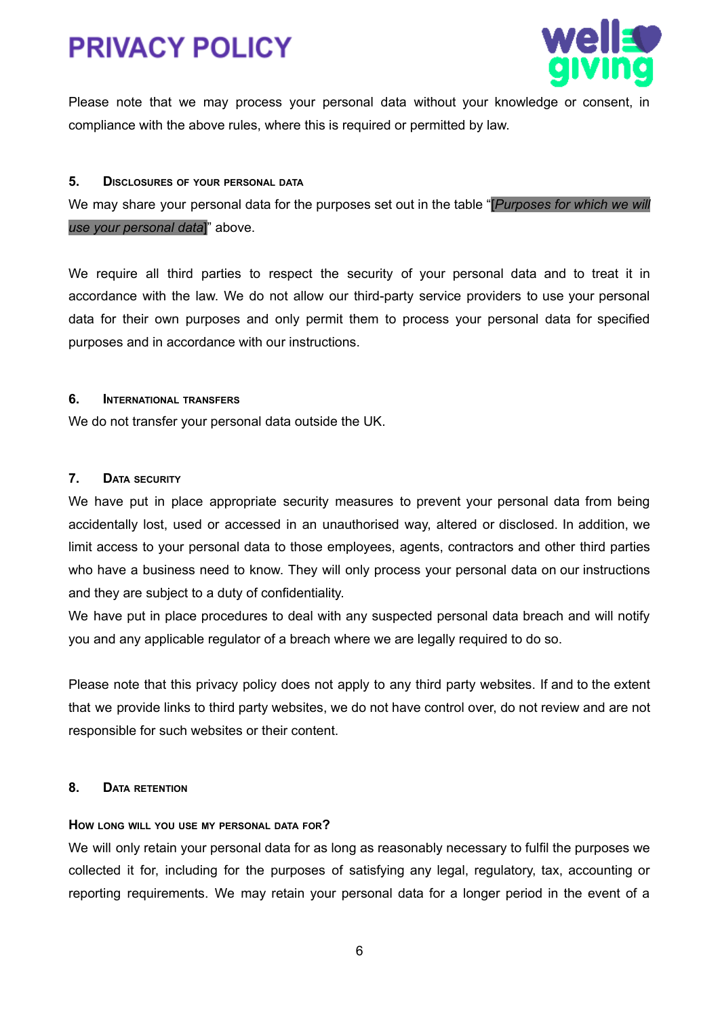



Please note that we may process your personal data without your knowledge or consent, in compliance with the above rules, where this is required or permitted by law.

### **5. DISCLOSURES OF YOUR PERSONAL DATA**

We may share your personal data for the purposes set out in the table "[*Purposes for which we will use your personal data*]" above.

We require all third parties to respect the security of your personal data and to treat it in accordance with the law. We do not allow our third-party service providers to use your personal data for their own purposes and only permit them to process your personal data for specified purposes and in accordance with our instructions.

#### **6. INTERNATIONAL TRANSFERS**

We do not transfer your personal data outside the UK.

### **7. DATA SECURITY**

We have put in place appropriate security measures to prevent your personal data from being accidentally lost, used or accessed in an unauthorised way, altered or disclosed. In addition, we limit access to your personal data to those employees, agents, contractors and other third parties who have a business need to know. They will only process your personal data on our instructions and they are subject to a duty of confidentiality.

We have put in place procedures to deal with any suspected personal data breach and will notify you and any applicable regulator of a breach where we are legally required to do so.

Please note that this privacy policy does not apply to any third party websites. If and to the extent that we provide links to third party websites, we do not have control over, do not review and are not responsible for such websites or their content.

### **8. DATA RETENTION**

### **HOW LONG WILL YOU USE MY PERSONAL DATA FOR?**

We will only retain your personal data for as long as reasonably necessary to fulfil the purposes we collected it for, including for the purposes of satisfying any legal, regulatory, tax, accounting or reporting requirements. We may retain your personal data for a longer period in the event of a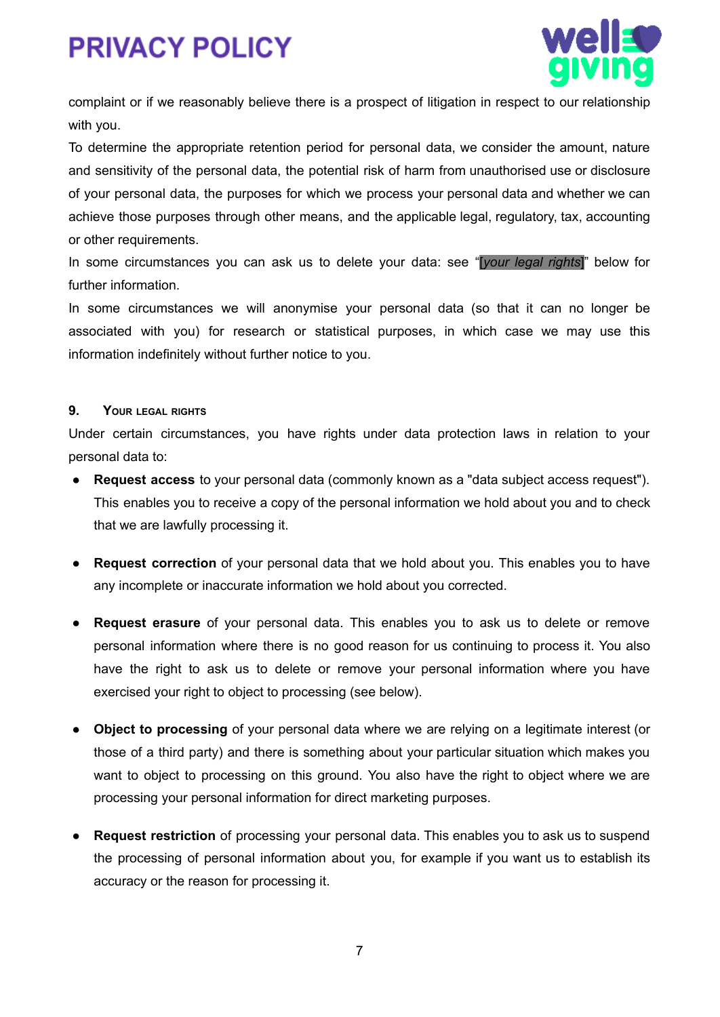



complaint or if we reasonably believe there is a prospect of litigation in respect to our relationship with you.

To determine the appropriate retention period for personal data, we consider the amount, nature and sensitivity of the personal data, the potential risk of harm from unauthorised use or disclosure of your personal data, the purposes for which we process your personal data and whether we can achieve those purposes through other means, and the applicable legal, regulatory, tax, accounting or other requirements.

In some circumstances you can ask us to delete your data: see "[*your legal rights*]" below for further information.

In some circumstances we will anonymise your personal data (so that it can no longer be associated with you) for research or statistical purposes, in which case we may use this information indefinitely without further notice to you.

### **9. YOUR LEGAL RIGHTS**

Under certain circumstances, you have rights under data protection laws in relation to your personal data to:

- **● Request access** to your personal data (commonly known as a "data subject access request"). This enables you to receive a copy of the personal information we hold about you and to check that we are lawfully processing it.
- **● Request correction** of your personal data that we hold about you. This enables you to have any incomplete or inaccurate information we hold about you corrected.
- **● Request erasure** of your personal data. This enables you to ask us to delete or remove personal information where there is no good reason for us continuing to process it. You also have the right to ask us to delete or remove your personal information where you have exercised your right to object to processing (see below).
- **● Object to processing** of your personal data where we are relying on a legitimate interest (or those of a third party) and there is something about your particular situation which makes you want to object to processing on this ground. You also have the right to object where we are processing your personal information for direct marketing purposes.
- **● Request restriction** of processing your personal data. This enables you to ask us to suspend the processing of personal information about you, for example if you want us to establish its accuracy or the reason for processing it.